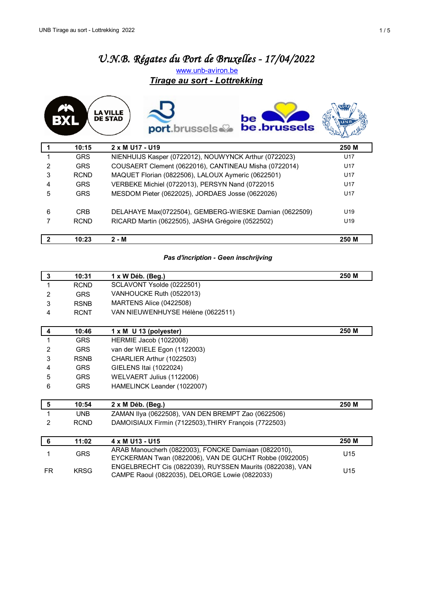# *U.N.B. Régates du Port de Bruxelles - 17/04/2022* [w](http://www.unb-aviron.be/)ww.unb-aviron.be *Tirage au sort - Lottrekking*



|   | 10:15       | 2 x M U17 - U19                                        | 250 M           |
|---|-------------|--------------------------------------------------------|-----------------|
|   | <b>GRS</b>  | NIENHUIJS Kasper (0722012), NOUWYNCK Arthur (0722023)  | U17             |
| 2 | <b>GRS</b>  | COUSAERT Clement (0622016), CANTINEAU Misha (0722014)  | U <sub>17</sub> |
| 3 | <b>RCND</b> | MAQUET Florian (0822506), LALOUX Aymeric (0622501)     | U <sub>17</sub> |
| 4 | <b>GRS</b>  | VERBEKE Michiel (0722013), PERSYN Nand (0722015        | U <sub>17</sub> |
| 5 | <b>GRS</b>  | MESDOM Pieter (0622025), JORDAES Josse (0622026)       | U17             |
| 6 | <b>CRB</b>  | DELAHAYE Max(0722504), GEMBERG-WIESKE Damian (0622509) | U <sub>19</sub> |
|   | <b>RCND</b> | RICARD Martin (0622505), JASHA Grégoire (0522502)      | U <sub>19</sub> |
|   | 10:23       | $2 - M$                                                | 250 M           |

### *Pas d'incription - Geen inschrijving*

| 3              | 10:31       | 1 x W Déb. (Beg.)                                         | 250 M |
|----------------|-------------|-----------------------------------------------------------|-------|
| 1              | <b>RCND</b> | SCLAVONT Ysolde (0222501)                                 |       |
| $\overline{2}$ | <b>GRS</b>  | VANHOUCKE Ruth (0522013)                                  |       |
| 3              | <b>RSNB</b> | MARTENS Alice (0422508)                                   |       |
| 4              | <b>RCNT</b> | VAN NIEUWENHUYSE Hélène (0622511)                         |       |
|                |             |                                                           |       |
| 4              | 10:46       | 1 x M U 13 (polyester)                                    | 250 M |
| 1              | <b>GRS</b>  | <b>HERMIE Jacob (1022008)</b>                             |       |
| $\overline{2}$ | <b>GRS</b>  | van der WIELE Egon (1122003)                              |       |
| 3              | <b>RSNB</b> | CHARLIER Arthur (1022503)                                 |       |
| 4              | <b>GRS</b>  | GIELENS Itai (1022024)                                    |       |
| 5              | <b>GRS</b>  | WELVAERT Julius (1122006)                                 |       |
| 6              | <b>GRS</b>  | HAMELINCK Leander (1022007)                               |       |
|                |             |                                                           |       |
| 5              | 10:54       | $2 \times M$ Déb. (Beg.)                                  | 250 M |
| 1              | <b>UNB</b>  | ZAMAN IIya (0622508), VAN DEN BREMPT Zao (0622506)        |       |
| 2              | RCND        | DAMOISIAUX Firmin (7122503), THIRY François (7722503)     |       |
|                |             |                                                           |       |
| 6              | 11:02       | 4 x M U13 - U15                                           | 250 M |
| 1              | <b>GRS</b>  | ARAB Manoucherh (0822003), FONCKE Damiaan (0822010),      | U15   |
|                |             | EYCKERMAN Twan (0822006), VAN DE GUCHT Robbe (0922005)    |       |
| <b>FR</b>      | <b>KRSG</b> | ENGELBRECHT Cis (0822039), RUYSSEN Maurits (0822038), VAN | U15   |
|                |             | CAMPE Raoul (0822035), DELORGE Lowie (0822033)            |       |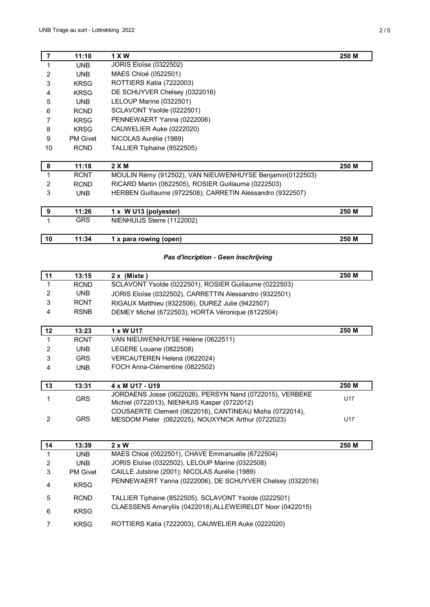| <b>UNB</b><br><b>UNB</b><br><b>KRSG</b><br><b>KRSG</b><br><b>UNB</b><br><b>RCND</b><br><b>KRSG</b><br><b>KRSG</b><br><b>PM Givet</b><br><b>RCND</b><br>11:18 | <b>JORIS Eloïse (0322502)</b><br>MAES Chloé (0522501)<br>ROTTIERS Katia (7222003)<br>DE SCHUYVER Chelsey (0322016)<br>LELOUP Marine (0322501)<br>SCLAVONT Ysolde (0222501)<br>PENNEWAERT Yanna (0222006)<br>CAUWELIER Auke (0222020)<br>NICOLAS Aurélie (1989)<br>TALLIER Tiphaine (8522505)<br>2 X M | 250 M                                                                         |
|--------------------------------------------------------------------------------------------------------------------------------------------------------------|-------------------------------------------------------------------------------------------------------------------------------------------------------------------------------------------------------------------------------------------------------------------------------------------------------|-------------------------------------------------------------------------------|
|                                                                                                                                                              |                                                                                                                                                                                                                                                                                                       |                                                                               |
|                                                                                                                                                              |                                                                                                                                                                                                                                                                                                       |                                                                               |
|                                                                                                                                                              |                                                                                                                                                                                                                                                                                                       |                                                                               |
|                                                                                                                                                              |                                                                                                                                                                                                                                                                                                       |                                                                               |
|                                                                                                                                                              |                                                                                                                                                                                                                                                                                                       |                                                                               |
|                                                                                                                                                              |                                                                                                                                                                                                                                                                                                       |                                                                               |
|                                                                                                                                                              |                                                                                                                                                                                                                                                                                                       |                                                                               |
|                                                                                                                                                              |                                                                                                                                                                                                                                                                                                       |                                                                               |
|                                                                                                                                                              |                                                                                                                                                                                                                                                                                                       |                                                                               |
|                                                                                                                                                              |                                                                                                                                                                                                                                                                                                       |                                                                               |
|                                                                                                                                                              |                                                                                                                                                                                                                                                                                                       |                                                                               |
|                                                                                                                                                              |                                                                                                                                                                                                                                                                                                       |                                                                               |
| <b>RCNT</b>                                                                                                                                                  | MOULIN Rémy (912502), VAN NIEUWENHUYSE Benjamin(0122503)                                                                                                                                                                                                                                              |                                                                               |
| <b>RCND</b>                                                                                                                                                  | RICARD Martin (0622505), ROSIER Guillaume (0222503)                                                                                                                                                                                                                                                   |                                                                               |
| <b>UNB</b>                                                                                                                                                   | HERBEN Guillaume (9722508); CARRETIN Alessandro (9322507)                                                                                                                                                                                                                                             |                                                                               |
|                                                                                                                                                              |                                                                                                                                                                                                                                                                                                       |                                                                               |
| 11:26                                                                                                                                                        |                                                                                                                                                                                                                                                                                                       | 250 M                                                                         |
| <b>GRS</b>                                                                                                                                                   |                                                                                                                                                                                                                                                                                                       |                                                                               |
|                                                                                                                                                              |                                                                                                                                                                                                                                                                                                       |                                                                               |
| 11:34                                                                                                                                                        |                                                                                                                                                                                                                                                                                                       | 250 M                                                                         |
|                                                                                                                                                              |                                                                                                                                                                                                                                                                                                       |                                                                               |
|                                                                                                                                                              |                                                                                                                                                                                                                                                                                                       | 1 x W U13 (polyester)<br>NIENHUIJS Sterre (1122002)<br>1 x para rowing (open) |

| 11 | 13:15       | $2x$ (Mixte)                                           | 250 M |
|----|-------------|--------------------------------------------------------|-------|
|    | <b>RCND</b> | SCLAVONT Ysolde (0222501), ROSIER Guillaume (0222503)  |       |
| 2  | UNB.        | JORIS Eloïse (0322502), CARRETTIN Alessandro (9322501) |       |
| 3  | <b>RCNT</b> | RIGAUX Matthieu (9322506), DUREZ Julie (9422507)       |       |
| 4  | <b>RSNB</b> | DEMEY Michel (6722503), HORTA Véronique (6122504)      |       |
| 12 | 13:23       | 1 x W U17                                              | 250 M |
|    | <b>RCNT</b> | VAN NIEUWENHUYSE Hélène (0622511)                      |       |

|    | <b>RCNT</b> | VAN NIEUWENHUYSE Hélène (0622511)                        |                 |
|----|-------------|----------------------------------------------------------|-----------------|
| 2  | UNB         | LEGERE Louane (0822508)                                  |                 |
| 3  | <b>GRS</b>  | VERCAUTEREN Helena (0622024)                             |                 |
| 4  | UNB         | FOCH Anna-Clémentine (0822502)                           |                 |
|    |             |                                                          |                 |
|    |             |                                                          |                 |
| 13 | 13:31       | 4 x M U17 - U19                                          | 250 M           |
|    |             | JORDAENS Josse (0622026), PERSYN Nand (0722015), VERBEKE |                 |
|    | <b>GRS</b>  | Michiel (0722013), NIENHUIS Kasper (0722012)             | U <sub>17</sub> |
|    |             | COUSAERTE Clement (0622016), CANTINEAU Misha (0722014),  |                 |

| 14 | 13:39           | $2 \times W$                                               | 250 M |
|----|-----------------|------------------------------------------------------------|-------|
|    | UNB.            | MAES Chloé (0522501), CHAVE Emmanuelle (6722504)           |       |
| 2  | UNB.            | JORIS Eloïse (0322502), LELOUP Marine (0322508)            |       |
| 3  | <b>PM Givet</b> | CAILLE Jutstine (2001); NICOLAS Aurélie (1989)             |       |
| 4  | <b>KRSG</b>     | PENNEWAERT Yanna (0222006), DE SCHUYVER Chelsey (0322016)  |       |
| 5  | <b>RCND</b>     | TALLIER Tiphaine (8522505), SCLAVONT Ysolde (0222501)      |       |
| 6  | <b>KRSG</b>     | CLAESSENS Amaryllis (0422018), ALLEWEIRELDT Noor (0422015) |       |
|    | <b>KRSG</b>     | ROTTIERS Katia (7222003), CAUWELIER Auke (0222020)         |       |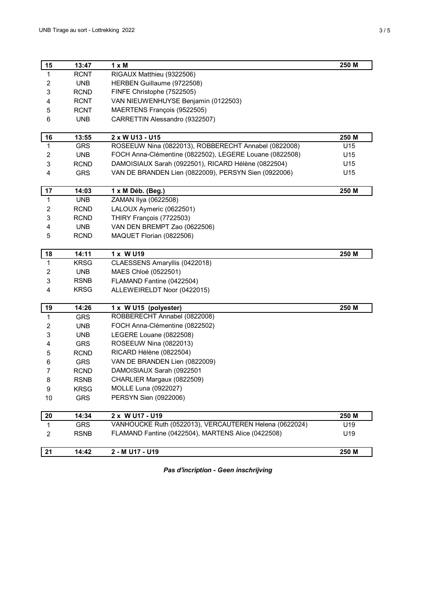| 15                      | 13:47       | $1 \times M$                                            | 250 M |
|-------------------------|-------------|---------------------------------------------------------|-------|
| $\mathbf{1}$            | <b>RCNT</b> | RIGAUX Matthieu (9322506)                               |       |
| $\overline{\mathbf{c}}$ | <b>UNB</b>  | HERBEN Guillaume (9722508)                              |       |
| 3                       | RCND        | FINFE Christophe (7522505)                              |       |
| 4                       | <b>RCNT</b> | VAN NIEUWENHUYSE Benjamin (0122503)                     |       |
| 5                       | <b>RCNT</b> | MAERTENS François (9522505)                             |       |
| 6                       | <b>UNB</b>  | CARRETTIN Alessandro (9322507)                          |       |
|                         |             |                                                         |       |
| 16                      | 13:55       | 2 x W U13 - U15                                         | 250 M |
| $\mathbf{1}$            | <b>GRS</b>  | ROSEEUW Nina (0822013), ROBBERECHT Annabel (0822008)    | U15   |
| $\overline{c}$          | <b>UNB</b>  | FOCH Anna-Clémentine (0822502), LEGERE Louane (0822508) | U15   |
| 3                       | <b>RCND</b> | DAMOISIAUX Sarah (0922501), RICARD Hélène (0822504)     | U15   |
| 4                       | <b>GRS</b>  | VAN DE BRANDEN Lien (0822009), PERSYN Sien (0922006)    | U15   |
| 17                      | 14:03       | 1 x M Déb. (Beg.)                                       | 250 M |
| $\mathbf{1}$            | <b>UNB</b>  | ZAMAN Ilya (0622508)                                    |       |
| 2                       | <b>RCND</b> | LALOUX Aymeric (0622501)                                |       |
| 3                       | <b>RCND</b> | THIRY François (7722503)                                |       |
| 4                       | <b>UNB</b>  | VAN DEN BREMPT Zao (0622506)                            |       |
| 5                       | <b>RCND</b> | MAQUET Florian (0822506)                                |       |
|                         |             |                                                         |       |
| 18                      | 14:11       | 1 x W U19                                               | 250 M |
| $\mathbf{1}$            | <b>KRSG</b> | CLAESSENS Amaryllis (0422018)                           |       |
| 2                       | <b>UNB</b>  | MAES Chloé (0522501)                                    |       |
| 3                       | <b>RSNB</b> | FLAMAND Fantine (0422504)                               |       |
| 4                       | <b>KRSG</b> | ALLEWEIRELDT Noor (0422015)                             |       |
| 19                      | 14:26       | 1 x W U15 (polyester)                                   | 250 M |
| 1                       | <b>GRS</b>  | ROBBERECHT Annabel (0822008)                            |       |
| 2                       | <b>UNB</b>  | FOCH Anna-Clémentine (0822502)                          |       |
| 3                       | <b>UNB</b>  | LEGERE Louane (0822508)                                 |       |
| 4                       | <b>GRS</b>  | ROSEEUW Nina (0822013)                                  |       |
| 5                       | <b>RCND</b> | RICARD Hélène (0822504)                                 |       |
| 6                       | <b>GRS</b>  | VAN DE BRANDEN Lien (0822009)                           |       |
| $\overline{7}$          | <b>RCND</b> | DAMOISIAUX Sarah (0922501                               |       |
| 8                       | <b>RSNB</b> | CHARLIER Margaux (0822509)                              |       |
| 9                       | <b>KRSG</b> | MOLLE Luna (0922027)                                    |       |
| 10                      | <b>GRS</b>  | PERSYN Sien (0922006)                                   |       |
| 20                      | 14:34       | 2 x W U17 - U19                                         | 250 M |
| $\mathbf 1$             | GRS         | VANHOUCKE Ruth (0522013), VERCAUTEREN Helena (0622024)  | U19   |
| $\overline{c}$          | <b>RSNB</b> | FLAMAND Fantine (0422504), MARTENS Alice (0422508)      | U19   |
|                         |             |                                                         |       |
| 21                      | 14:42       | 2 - M U17 - U19                                         | 250 M |

*Pas d'incription - Geen inschrijving*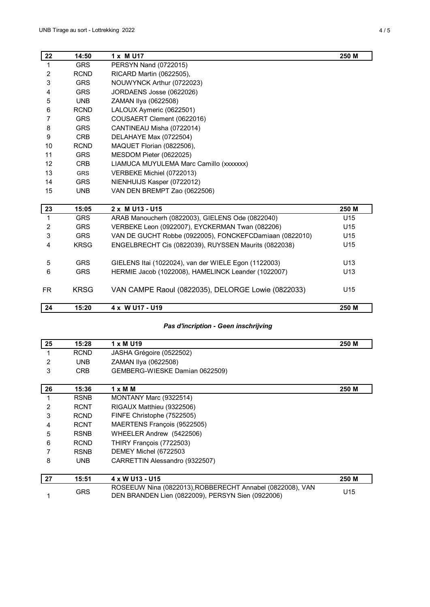| 22             | 14:50       | 1 x M U17                                               | 250 M           |
|----------------|-------------|---------------------------------------------------------|-----------------|
| 1              | <b>GRS</b>  | PERSYN Nand (0722015)                                   |                 |
| $\overline{2}$ | <b>RCND</b> | RICARD Martin (0622505),                                |                 |
| 3              | <b>GRS</b>  | NOUWYNCK Arthur (0722023)                               |                 |
| 4              | <b>GRS</b>  | JORDAENS Josse (0622026)                                |                 |
| 5              | <b>UNB</b>  | ZAMAN Ilya (0622508)                                    |                 |
| 6              | <b>RCND</b> | LALOUX Aymeric (0622501)                                |                 |
| 7              | <b>GRS</b>  | COUSAERT Clement (0622016)                              |                 |
| 8              | <b>GRS</b>  | CANTINEAU Misha (0722014)                               |                 |
| 9              | <b>CRB</b>  | DELAHAYE Max (0722504)                                  |                 |
| 10             | <b>RCND</b> | MAQUET Florian (0822506),                               |                 |
| 11             | <b>GRS</b>  | MESDOM Pieter (0622025)                                 |                 |
| 12             | <b>CRB</b>  | LIAMUCA MUYULEMA Marc Camillo (xxxxxx)                  |                 |
| 13             | <b>GRS</b>  | VERBEKE Michiel (0722013)                               |                 |
| 14             | <b>GRS</b>  | NIENHUIJS Kasper (0722012)                              |                 |
| 15             | <b>UNB</b>  | VAN DEN BREMPT Zao (0622506)                            |                 |
| 23             | 15:05       | 2 x M U13 - U15                                         | 250 M           |
| 1              | <b>GRS</b>  | ARAB Manoucherh (0822003), GIELENS Ode (0822040)        | U15             |
| 2              | <b>GRS</b>  | VERBEKE Leon (0922007), EYCKERMAN Twan (082206)         | U15             |
| 3              | <b>GRS</b>  | VAN DE GUCHT Robbe (0922005), FONCKEFCDamiaan (0822010) | U <sub>15</sub> |
| 4              | <b>KRSG</b> | ENGELBRECHT Cis (0822039), RUYSSEN Maurits (0822038)    | U15             |
|                |             |                                                         |                 |
| 5              | <b>GRS</b>  | GIELENS Itai (1022024), van der WIELE Egon (1122003)    | U <sub>13</sub> |
| 6              | <b>GRS</b>  | HERMIE Jacob (1022008), HAMELINCK Leander (1022007)     | U13             |
| <b>FR</b>      | <b>KRSG</b> | VAN CAMPE Raoul (0822035), DELORGE Lowie (0822033)      | U <sub>15</sub> |
| 24             | 15:20       | 4 x W U17 - U19                                         | 250 M           |

#### *Pas d'incription - Geen inschrijving*

| 25 | 15:28       | 1 x M U19                                                                                                      | 250 M |
|----|-------------|----------------------------------------------------------------------------------------------------------------|-------|
|    | <b>RCND</b> | JASHA Grégoire (0522502)                                                                                       |       |
| 2  | <b>UNB</b>  | ZAMAN IIya (0622508)                                                                                           |       |
| 3  | <b>CRB</b>  | GEMBERG-WIESKE Damian 0622509)                                                                                 |       |
|    |             |                                                                                                                |       |
| 26 | 15:36       | $1 \times M$ M                                                                                                 | 250 M |
|    | <b>RSNB</b> | MONTANY Marc (9322514)                                                                                         |       |
| 2  | <b>RCNT</b> | RIGAUX Matthieu (9322506)                                                                                      |       |
| 3  | <b>RCND</b> | FINFE Christophe (7522505)                                                                                     |       |
| 4  | <b>RCNT</b> | MAERTENS François (9522505)                                                                                    |       |
| 5  | <b>RSNB</b> | WHEELER Andrew (5422506)                                                                                       |       |
| 6  | <b>RCND</b> | THIRY François (7722503)                                                                                       |       |
|    | <b>RSNB</b> | DEMEY Michel (6722503                                                                                          |       |
| 8  | <b>UNB</b>  | CARRETTIN Alessandro (9322507)                                                                                 |       |
|    |             |                                                                                                                |       |
| 27 | 15:51       | 4 x W U13 - U15                                                                                                | 250 M |
|    | <b>GRS</b>  | ROSEEUW Nina (0822013), ROBBERECHT Annabel (0822008), VAN<br>DEN BRANDEN Lien (0822009), PERSYN Sien (0922006) | U15   |